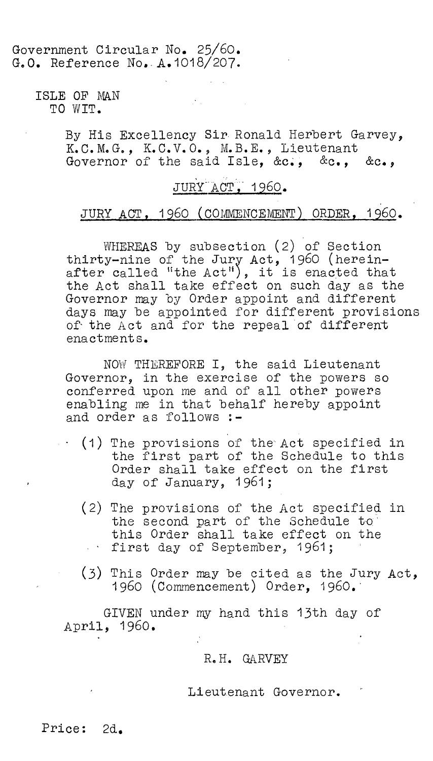### Government Circular No. 25/60. G.O. Reference No. A.1018/207.

ISLE OF MAN TO WIT.

> By His Excellency Sir Ronald Herbert Garvey, K.C.M.G., K.C.V.O., M.B.E., Lieutenant Governor of the said Isle, &c., &c., &c.,

# JURY ACT, 1960.

# JURY ACT, 1960 (COMMENCEMENT) ORDER, 1960.

WHEREAS by subsection (2) of Section thirty-nine of the Jury Act, 1960 (hereinafter called "the Act"), it is enacted that the Act shall take effect on such day as the Governor may by Order appoint and different days may be appointed for different provisions of the Act and for the repeal of different enactments.

NOW THEREFORE I, the said Lieutenant Governor, in the exercise of the powers so conferred upon me and of all other powers enabling me in that behalf hereby appoint and order as follows :-

- (1) The provisions of the Act specified in the first part of the Schedule to this Order shall take effect on the first day of January, 1961;
- (2) The provisions of the Act specified in the second part of the Schedule to' this Order shall take effect on the first day of September, 1961;
- (3) This Order may be cited as the Jury Act, 1960 (Commencement) Order, 1960.

GIVEN under my hand this 13th day of April, 1960.

#### R.H. CIARVEY

Lieutenant Governor.

Price: 2d.